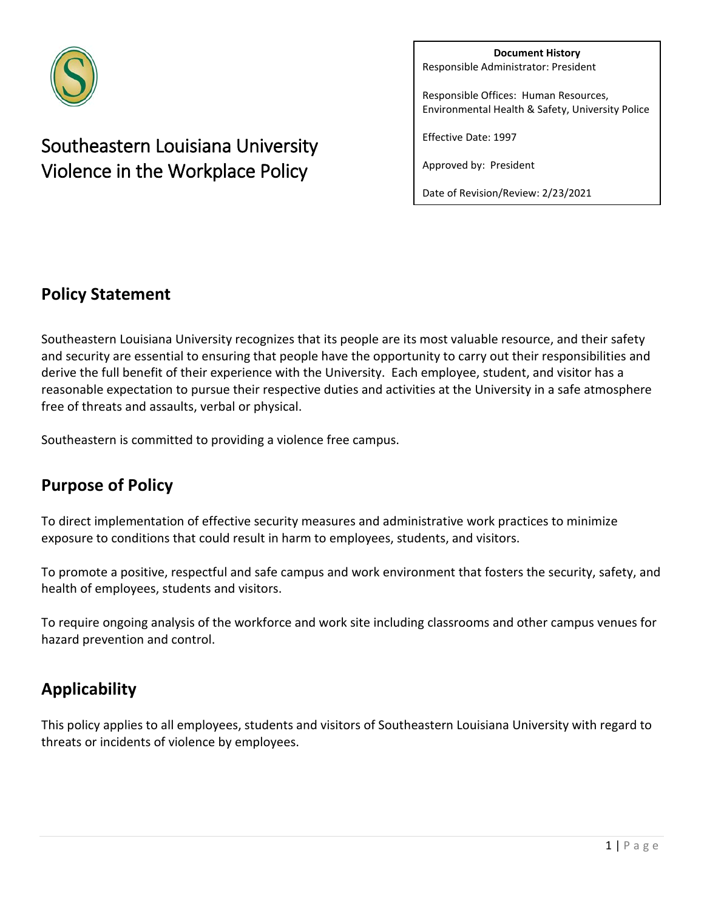

# Southeastern Louisiana University Violence in the Workplace Policy

**Document History** Responsible Administrator: President

Responsible Offices: Human Resources, Environmental Health & Safety, University Police

Effective Date: 1997

Approved by: President

Date of Revision/Review: 2/23/2021

### **Policy Statement**

Southeastern Louisiana University recognizes that its people are its most valuable resource, and their safety and security are essential to ensuring that people have the opportunity to carry out their responsibilities and derive the full benefit of their experience with the University. Each employee, student, and visitor has a reasonable expectation to pursue their respective duties and activities at the University in a safe atmosphere free of threats and assaults, verbal or physical.

Southeastern is committed to providing a violence free campus.

### **Purpose of Policy**

To direct implementation of effective security measures and administrative work practices to minimize exposure to conditions that could result in harm to employees, students, and visitors.

To promote a positive, respectful and safe campus and work environment that fosters the security, safety, and health of employees, students and visitors.

To require ongoing analysis of the workforce and work site including classrooms and other campus venues for hazard prevention and control.

# **Applicability**

This policy applies to all employees, students and visitors of Southeastern Louisiana University with regard to threats or incidents of violence by employees.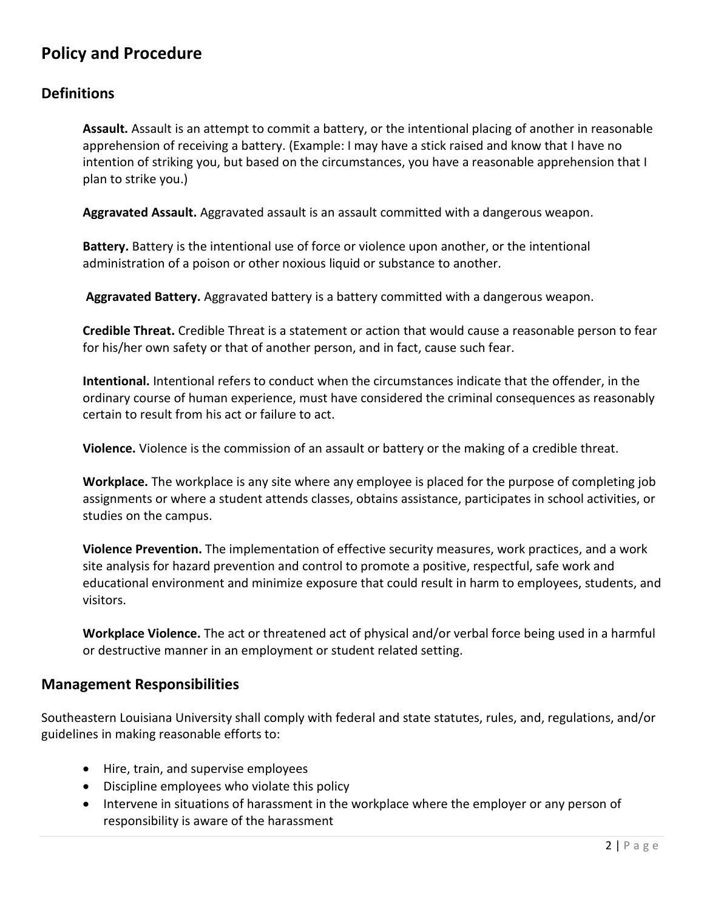## **Policy and Procedure**

#### **Definitions**

**Assault.** Assault is an attempt to commit a battery, or the intentional placing of another in reasonable apprehension of receiving a battery. (Example: I may have a stick raised and know that I have no intention of striking you, but based on the circumstances, you have a reasonable apprehension that I plan to strike you.)

**Aggravated Assault.** Aggravated assault is an assault committed with a dangerous weapon.

**Battery.** Battery is the intentional use of force or violence upon another, or the intentional administration of a poison or other noxious liquid or substance to another.

**Aggravated Battery.** Aggravated battery is a battery committed with a dangerous weapon.

**Credible Threat.** Credible Threat is a statement or action that would cause a reasonable person to fear for his/her own safety or that of another person, and in fact, cause such fear.

**Intentional.** Intentional refers to conduct when the circumstances indicate that the offender, in the ordinary course of human experience, must have considered the criminal consequences as reasonably certain to result from his act or failure to act.

**Violence.** Violence is the commission of an assault or battery or the making of a credible threat.

**Workplace.** The workplace is any site where any employee is placed for the purpose of completing job assignments or where a student attends classes, obtains assistance, participates in school activities, or studies on the campus.

**Violence Prevention.** The implementation of effective security measures, work practices, and a work site analysis for hazard prevention and control to promote a positive, respectful, safe work and educational environment and minimize exposure that could result in harm to employees, students, and visitors.

**Workplace Violence.** The act or threatened act of physical and/or verbal force being used in a harmful or destructive manner in an employment or student related setting.

#### **Management Responsibilities**

Southeastern Louisiana University shall comply with federal and state statutes, rules, and, regulations, and/or guidelines in making reasonable efforts to:

- Hire, train, and supervise employees
- Discipline employees who violate this policy
- Intervene in situations of harassment in the workplace where the employer or any person of responsibility is aware of the harassment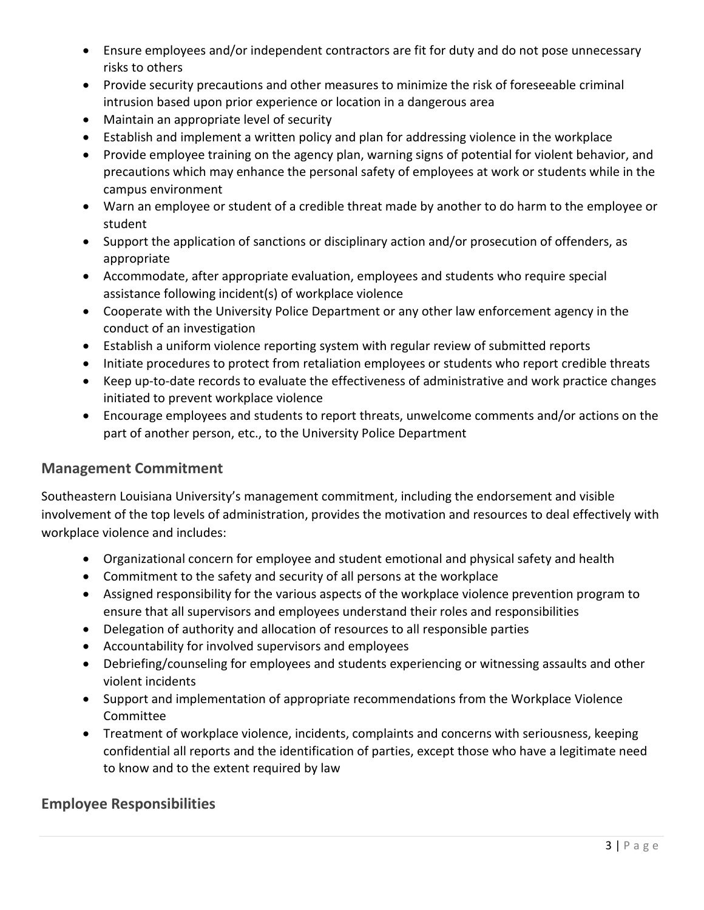- Ensure employees and/or independent contractors are fit for duty and do not pose unnecessary risks to others
- Provide security precautions and other measures to minimize the risk of foreseeable criminal intrusion based upon prior experience or location in a dangerous area
- Maintain an appropriate level of security
- Establish and implement a written policy and plan for addressing violence in the workplace
- Provide employee training on the agency plan, warning signs of potential for violent behavior, and precautions which may enhance the personal safety of employees at work or students while in the campus environment
- Warn an employee or student of a credible threat made by another to do harm to the employee or student
- Support the application of sanctions or disciplinary action and/or prosecution of offenders, as appropriate
- Accommodate, after appropriate evaluation, employees and students who require special assistance following incident(s) of workplace violence
- Cooperate with the University Police Department or any other law enforcement agency in the conduct of an investigation
- Establish a uniform violence reporting system with regular review of submitted reports
- Initiate procedures to protect from retaliation employees or students who report credible threats
- Keep up-to-date records to evaluate the effectiveness of administrative and work practice changes initiated to prevent workplace violence
- Encourage employees and students to report threats, unwelcome comments and/or actions on the part of another person, etc., to the University Police Department

#### **Management Commitment**

Southeastern Louisiana University's management commitment, including the endorsement and visible involvement of the top levels of administration, provides the motivation and resources to deal effectively with workplace violence and includes:

- Organizational concern for employee and student emotional and physical safety and health
- Commitment to the safety and security of all persons at the workplace
- Assigned responsibility for the various aspects of the workplace violence prevention program to ensure that all supervisors and employees understand their roles and responsibilities
- Delegation of authority and allocation of resources to all responsible parties
- Accountability for involved supervisors and employees
- Debriefing/counseling for employees and students experiencing or witnessing assaults and other violent incidents
- Support and implementation of appropriate recommendations from the Workplace Violence Committee
- Treatment of workplace violence, incidents, complaints and concerns with seriousness, keeping confidential all reports and the identification of parties, except those who have a legitimate need to know and to the extent required by law

#### **Employee Responsibilities**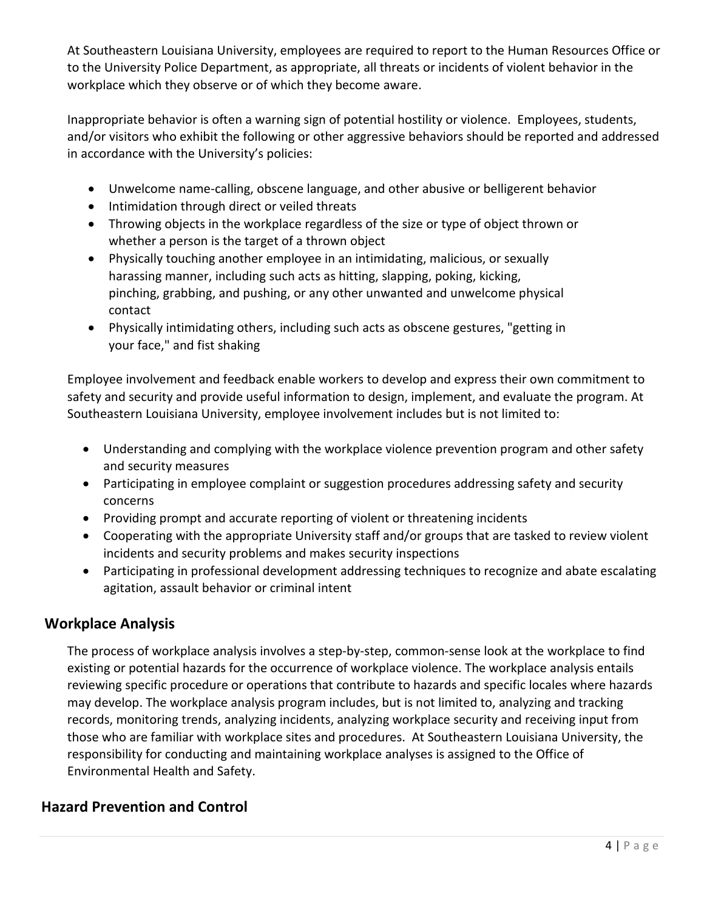At Southeastern Louisiana University, employees are required to report to the Human Resources Office or to the University Police Department, as appropriate, all threats or incidents of violent behavior in the workplace which they observe or of which they become aware.

Inappropriate behavior is often a warning sign of potential hostility or violence. Employees, students, and/or visitors who exhibit the following or other aggressive behaviors should be reported and addressed in accordance with the University's policies:

- Unwelcome name-calling, obscene language, and other abusive or belligerent behavior
- Intimidation through direct or veiled threats
- Throwing objects in the workplace regardless of the size or type of object thrown or whether a person is the target of a thrown object
- Physically touching another employee in an intimidating, malicious, or sexually harassing manner, including such acts as hitting, slapping, poking, kicking, pinching, grabbing, and pushing, or any other unwanted and unwelcome physical contact
- Physically intimidating others, including such acts as obscene gestures, "getting in your face," and fist shaking

Employee involvement and feedback enable workers to develop and express their own commitment to safety and security and provide useful information to design, implement, and evaluate the program. At Southeastern Louisiana University, employee involvement includes but is not limited to:

- Understanding and complying with the workplace violence prevention program and other safety and security measures
- Participating in employee complaint or suggestion procedures addressing safety and security concerns
- Providing prompt and accurate reporting of violent or threatening incidents
- Cooperating with the appropriate University staff and/or groups that are tasked to review violent incidents and security problems and makes security inspections
- Participating in professional development addressing techniques to recognize and abate escalating agitation, assault behavior or criminal intent

#### **Workplace Analysis**

The process of workplace analysis involves a step-by-step, common-sense look at the workplace to find existing or potential hazards for the occurrence of workplace violence. The workplace analysis entails reviewing specific procedure or operations that contribute to hazards and specific locales where hazards may develop. The workplace analysis program includes, but is not limited to, analyzing and tracking records, monitoring trends, analyzing incidents, analyzing workplace security and receiving input from those who are familiar with workplace sites and procedures. At Southeastern Louisiana University, the responsibility for conducting and maintaining workplace analyses is assigned to the Office of Environmental Health and Safety.

#### **Hazard Prevention and Control**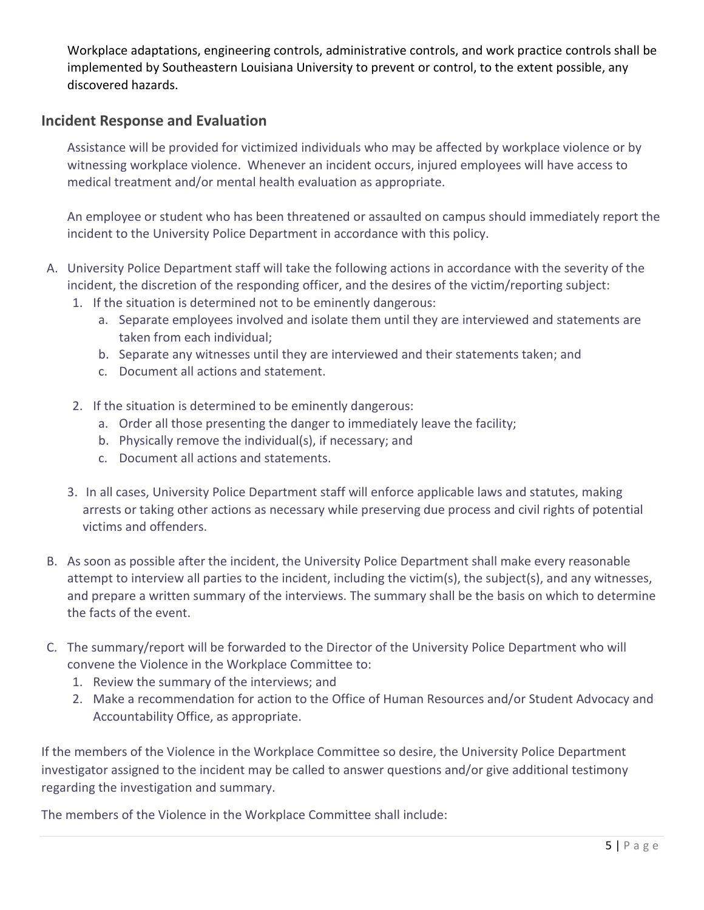Workplace adaptations, engineering controls, administrative controls, and work practice controls shall be implemented by Southeastern Louisiana University to prevent or control, to the extent possible, any discovered hazards.

#### **Incident Response and Evaluation**

Assistance will be provided for victimized individuals who may be affected by workplace violence or by witnessing workplace violence. Whenever an incident occurs, injured employees will have access to medical treatment and/or mental health evaluation as appropriate.

An employee or student who has been threatened or assaulted on campus should immediately report the incident to the University Police Department in accordance with this policy.

- A. University Police Department staff will take the following actions in accordance with the severity of the incident, the discretion of the responding officer, and the desires of the victim/reporting subject:
	- 1. If the situation is determined not to be eminently dangerous:
		- a. Separate employees involved and isolate them until they are interviewed and statements are taken from each individual;
		- b. Separate any witnesses until they are interviewed and their statements taken; and
		- c. Document all actions and statement.
	- 2. If the situation is determined to be eminently dangerous:
		- a. Order all those presenting the danger to immediately leave the facility;
		- b. Physically remove the individual(s), if necessary; and
		- c. Document all actions and statements.
	- 3. In all cases, University Police Department staff will enforce applicable laws and statutes, making arrests or taking other actions as necessary while preserving due process and civil rights of potential victims and offenders.
- B. As soon as possible after the incident, the University Police Department shall make every reasonable attempt to interview all parties to the incident, including the victim(s), the subject(s), and any witnesses, and prepare a written summary of the interviews. The summary shall be the basis on which to determine the facts of the event.
- C. The summary/report will be forwarded to the Director of the University Police Department who will convene the Violence in the Workplace Committee to:
	- 1. Review the summary of the interviews; and
	- 2. Make a recommendation for action to the Office of Human Resources and/or Student Advocacy and Accountability Office, as appropriate.

If the members of the Violence in the Workplace Committee so desire, the University Police Department investigator assigned to the incident may be called to answer questions and/or give additional testimony regarding the investigation and summary.

The members of the Violence in the Workplace Committee shall include: